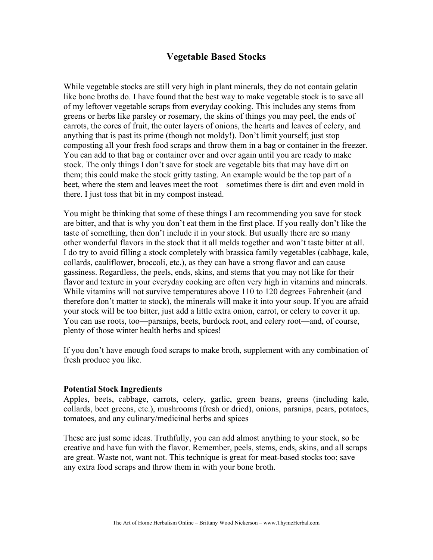## **Vegetable Based Stocks**

While vegetable stocks are still very high in plant minerals, they do not contain gelatin like bone broths do. I have found that the best way to make vegetable stock is to save all of my leftover vegetable scraps from everyday cooking. This includes any stems from greens or herbs like parsley or rosemary, the skins of things you may peel, the ends of carrots, the cores of fruit, the outer layers of onions, the hearts and leaves of celery, and anything that is past its prime (though not moldy!). Don't limit yourself; just stop composting all your fresh food scraps and throw them in a bag or container in the freezer. You can add to that bag or container over and over again until you are ready to make stock. The only things I don't save for stock are vegetable bits that may have dirt on them; this could make the stock gritty tasting. An example would be the top part of a beet, where the stem and leaves meet the root—sometimes there is dirt and even mold in there. I just toss that bit in my compost instead.

You might be thinking that some of these things I am recommending you save for stock are bitter, and that is why you don't eat them in the first place. If you really don't like the taste of something, then don't include it in your stock. But usually there are so many other wonderful flavors in the stock that it all melds together and won't taste bitter at all. I do try to avoid filling a stock completely with brassica family vegetables (cabbage, kale, collards, cauliflower, broccoli, etc.), as they can have a strong flavor and can cause gassiness. Regardless, the peels, ends, skins, and stems that you may not like for their flavor and texture in your everyday cooking are often very high in vitamins and minerals. While vitamins will not survive temperatures above 110 to 120 degrees Fahrenheit (and therefore don't matter to stock), the minerals will make it into your soup. If you are afraid your stock will be too bitter, just add a little extra onion, carrot, or celery to cover it up. You can use roots, too—parsnips, beets, burdock root, and celery root—and, of course, plenty of those winter health herbs and spices!

If you don't have enough food scraps to make broth, supplement with any combination of fresh produce you like.

## **Potential Stock Ingredients**

Apples, beets, cabbage, carrots, celery, garlic, green beans, greens (including kale, collards, beet greens, etc.), mushrooms (fresh or dried), onions, parsnips, pears, potatoes, tomatoes, and any culinary/medicinal herbs and spices

These are just some ideas. Truthfully, you can add almost anything to your stock, so be creative and have fun with the flavor. Remember, peels, stems, ends, skins, and all scraps are great. Waste not, want not. This technique is great for meat-based stocks too; save any extra food scraps and throw them in with your bone broth.